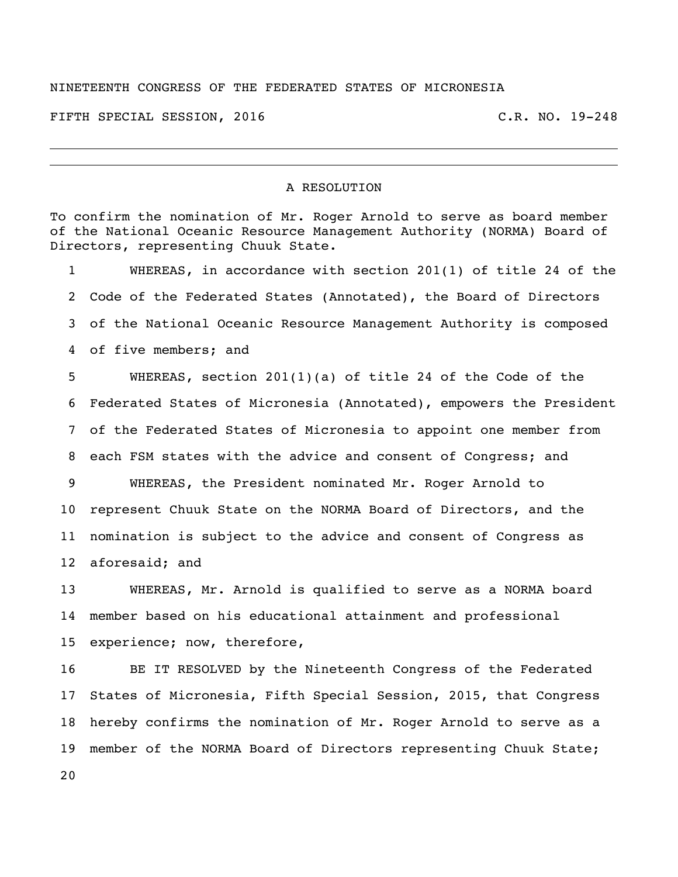## NINETEENTH CONGRESS OF THE FEDERATED STATES OF MICRONESIA

FIFTH SPECIAL SESSION, 2016 C.R. NO. 19-248

## A RESOLUTION

To confirm the nomination of Mr. Roger Arnold to serve as board member of the National Oceanic Resource Management Authority (NORMA) Board of Directors, representing Chuuk State. WHEREAS, in accordance with section 201(1) of title 24 of the Code of the Federated States (Annotated), the Board of Directors of the National Oceanic Resource Management Authority is composed of five members; and WHEREAS, section 201(1)(a) of title 24 of the Code of the Federated States of Micronesia (Annotated), empowers the President of the Federated States of Micronesia to appoint one member from each FSM states with the advice and consent of Congress; and WHEREAS, the President nominated Mr. Roger Arnold to represent Chuuk State on the NORMA Board of Directors, and the nomination is subject to the advice and consent of Congress as aforesaid; and WHEREAS, Mr. Arnold is qualified to serve as a NORMA board

 member based on his educational attainment and professional experience; now, therefore,

 BE IT RESOLVED by the Nineteenth Congress of the Federated States of Micronesia, Fifth Special Session, 2015, that Congress hereby confirms the nomination of Mr. Roger Arnold to serve as a member of the NORMA Board of Directors representing Chuuk State;